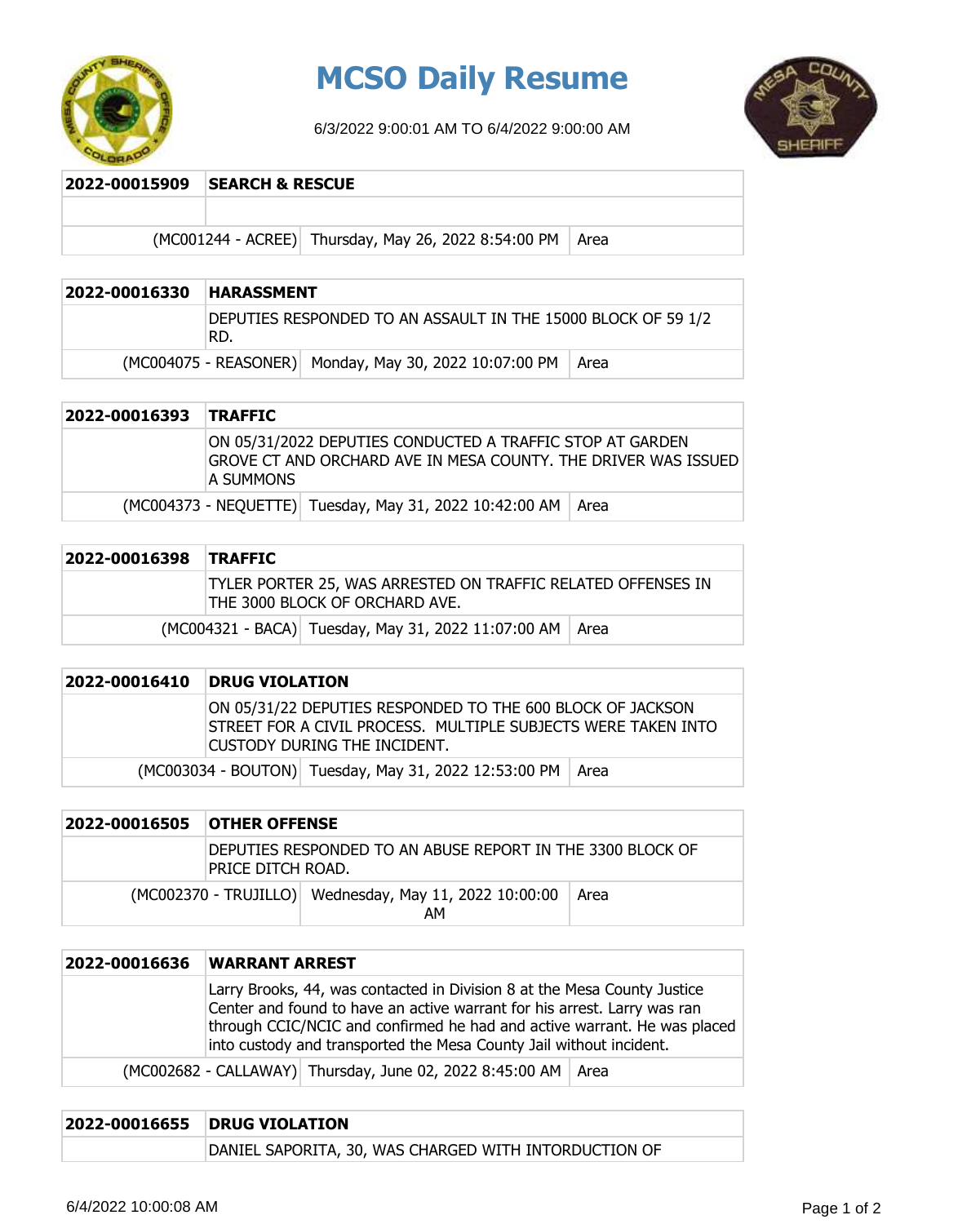

# **MCSO Daily Resume**

6/3/2022 9:00:01 AM TO 6/4/2022 9:00:00 AM



#### **2022-00015909 SEARCH & RESCUE**

 $(MCO01244 - ACREE)$  Thursday, May 26, 2022 8:54:00 PM Area

| 2022-00016330 | <b>HARASSMENT</b>                                                     |                                                               |  |
|---------------|-----------------------------------------------------------------------|---------------------------------------------------------------|--|
|               | DEPUTIES RESPONDED TO AN ASSAULT IN THE 15000 BLOCK OF 59 1/2<br>'RD. |                                                               |  |
|               |                                                                       | (MC004075 - REASONER) Monday, May 30, 2022 10:07:00 PM   Area |  |

| 2022-00016393 TRAFFIC |                                                                                                                                            |
|-----------------------|--------------------------------------------------------------------------------------------------------------------------------------------|
|                       | ON 05/31/2022 DEPUTIES CONDUCTED A TRAFFIC STOP AT GARDEN<br>IGROVE CT AND ORCHARD AVE IN MESA COUNTY. THE DRIVER WAS ISSUED<br>IA SUMMONS |
|                       | (MC004373 - NEQUETTE) Tuesday, May 31, 2022 10:42:00 AM   Area                                                                             |

| 2022-00016398 TRAFFIC |                                                                                                |                                                            |  |
|-----------------------|------------------------------------------------------------------------------------------------|------------------------------------------------------------|--|
|                       | TYLER PORTER 25, WAS ARRESTED ON TRAFFIC RELATED OFFENSES IN<br>THE 3000 BLOCK OF ORCHARD AVE. |                                                            |  |
|                       |                                                                                                | (MC004321 - BACA) Tuesday, May 31, 2022 11:07:00 AM   Area |  |

## **2022-00016410 DRUG VIOLATION** ON 05/31/22 DEPUTIES RESPONDED TO THE 600 BLOCK OF JACKSON STREET FOR A CIVIL PROCESS. MULTIPLE SUBJECTS WERE TAKEN INTO CUSTODY DURING THE INCIDENT. (MC003034 - BOUTON) Tuesday, May 31, 2022 12:53:00 PM Area

| 2022-00016505 | <b>OTHER OFFENSE</b>                                                             |                                                              |      |
|---------------|----------------------------------------------------------------------------------|--------------------------------------------------------------|------|
|               | DEPUTIES RESPONDED TO AN ABUSE REPORT IN THE 3300 BLOCK OF<br>IPRICE DITCH ROAD. |                                                              |      |
|               |                                                                                  | (MC002370 - TRUJILLO) Wednesday, May 11, 2022 10:00:00<br>AM | Area |

| 2022-00016636 | <b>WARRANT ARREST</b>                                                                                                                                                                                                                                                                                   |  |  |
|---------------|---------------------------------------------------------------------------------------------------------------------------------------------------------------------------------------------------------------------------------------------------------------------------------------------------------|--|--|
|               | Larry Brooks, 44, was contacted in Division 8 at the Mesa County Justice<br>Center and found to have an active warrant for his arrest. Larry was ran<br>through CCIC/NCIC and confirmed he had and active warrant. He was placed<br>into custody and transported the Mesa County Jail without incident. |  |  |
|               | (MC002682 - CALLAWAY) Thursday, June 02, 2022 8:45:00 AM   Area                                                                                                                                                                                                                                         |  |  |

| 2022-00016655 | <b>DRUG VIOLATION</b>                                 |  |  |
|---------------|-------------------------------------------------------|--|--|
|               | DANIEL SAPORITA, 30, WAS CHARGED WITH INTORDUCTION OF |  |  |